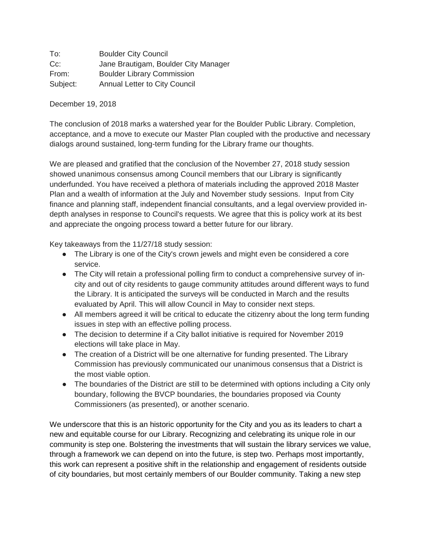To: Boulder City Council Cc: Jane Brautigam, Boulder City Manager From: Boulder Library Commission Subject: Annual Letter to City Council

December 19, 2018

The conclusion of 2018 marks a watershed year for the Boulder Public Library. Completion, acceptance, and a move to execute our Master Plan coupled with the productive and necessary dialogs around sustained, long-term funding for the Library frame our thoughts.

We are pleased and gratified that the conclusion of the November 27, 2018 study session showed unanimous consensus among Council members that our Library is significantly underfunded. You have received a plethora of materials including the approved 2018 Master Plan and a wealth of information at the July and November study sessions. Input from City finance and planning staff, independent financial consultants, and a legal overview provided indepth analyses in response to Council's requests. We agree that this is policy work at its best and appreciate the ongoing process toward a better future for our library.

Key takeaways from the 11/27/18 study session:

- The Library is one of the City's crown jewels and might even be considered a core service.
- The City will retain a professional polling firm to conduct a comprehensive survey of incity and out of city residents to gauge community attitudes around different ways to fund the Library. It is anticipated the surveys will be conducted in March and the results evaluated by April. This will allow Council in May to consider next steps.
- All members agreed it will be critical to educate the citizenry about the long term funding issues in step with an effective polling process.
- The decision to determine if a City ballot initiative is required for November 2019 elections will take place in May.
- The creation of a District will be one alternative for funding presented. The Library Commission has previously communicated our unanimous consensus that a District is the most viable option.
- The boundaries of the District are still to be determined with options including a City only boundary, following the BVCP boundaries, the boundaries proposed via County Commissioners (as presented), or another scenario.

We underscore that this is an historic opportunity for the City and you as its leaders to chart a new and equitable course for our Library. Recognizing and celebrating its unique role in our community is step one. Bolstering the investments that will sustain the library services we value, through a framework we can depend on into the future, is step two. Perhaps most importantly, this work can represent a positive shift in the relationship and engagement of residents outside of city boundaries, but most certainly members of our Boulder community. Taking a new step